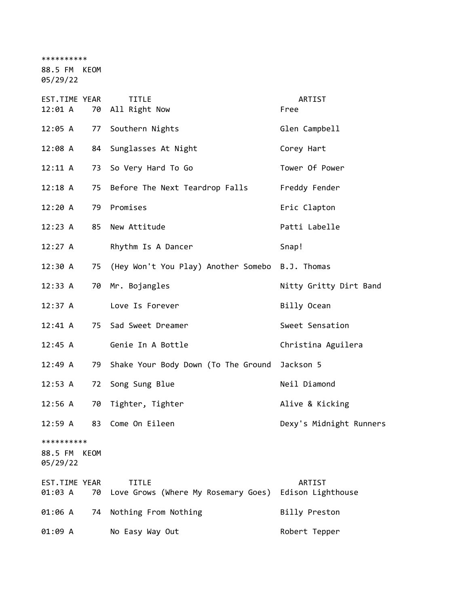\*\*\*\*\*\*\*\*\*\*

88.5 FM KEOM

05/29/22

| <b>EST.TIME YEAR</b><br>12:01 A   | 70   | <b>TITLE</b><br>All Right Now                       | ARTIST<br>Free              |
|-----------------------------------|------|-----------------------------------------------------|-----------------------------|
| 12:05 A                           | 77   | Southern Nights                                     | Glen Campbell               |
| 12:08 A                           | 84   | Sunglasses At Night                                 | Corey Hart                  |
| 12:11 A                           | 73   | So Very Hard To Go                                  | Tower Of Power              |
| 12:18A                            | 75   | Before The Next Teardrop Falls                      | Freddy Fender               |
| 12:20A                            | 79   | Promises                                            | Eric Clapton                |
| 12:23 A                           | 85   | New Attitude                                        | Patti Labelle               |
| 12:27 A                           |      | Rhythm Is A Dancer                                  | Snap!                       |
| 12:30 A                           | 75   | (Hey Won't You Play) Another Somebo B.J. Thomas     |                             |
| 12:33 A                           | 70   | Mr. Bojangles                                       | Nitty Gritty Dirt Band      |
| $12:37$ A                         |      | Love Is Forever                                     | Billy Ocean                 |
| $12:41 \; A$                      |      | 75 Sad Sweet Dreamer                                | Sweet Sensation             |
| 12:45 A                           |      | Genie In A Bottle                                   | Christina Aguilera          |
| 12:49 A                           | 79   | Shake Your Body Down (To The Ground                 | Jackson 5                   |
| 12:53 A                           | 72   | Song Sung Blue                                      | Neil Diamond                |
| 12:56 A                           | 70   | Tighter, Tighter                                    | Alive & Kicking             |
| 12:59 A                           | 83   | Come On Eileen                                      | Dexy's Midnight Runners     |
| **********<br>88.5 FM<br>05/29/22 | KEOM |                                                     |                             |
| EST.TIME YEAR<br>01:03 A          | 70   | <b>TITLE</b><br>Love Grows (Where My Rosemary Goes) | ARTIST<br>Edison Lighthouse |
| 01:06 A                           | 74   | Nothing From Nothing                                | Billy Preston               |
| 01:09 A                           |      | No Easy Way Out                                     | Robert Tepper               |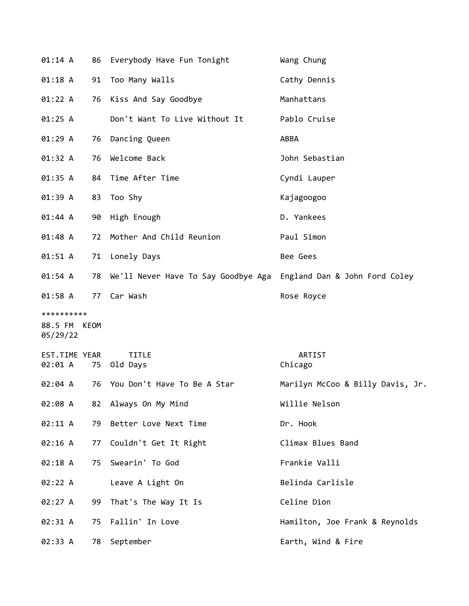| 01:14 A                                | 86 | Everybody Have Fun Tonight                                           | Wang Chung                       |
|----------------------------------------|----|----------------------------------------------------------------------|----------------------------------|
| $01:18$ A                              | 91 | Too Many Walls                                                       | Cathy Dennis                     |
| 01:22 A                                | 76 | Kiss And Say Goodbye                                                 | Manhattans                       |
| 01:25 A                                |    | Don't Want To Live Without It                                        | Pablo Cruise                     |
| 01:29A                                 | 76 | Dancing Queen                                                        | ABBA                             |
| 01:32 A                                | 76 | Welcome Back                                                         | John Sebastian                   |
| 01:35 A                                |    | 84 Time After Time                                                   | Cyndi Lauper                     |
| 01:39 A                                | 83 | Too Shy                                                              | Kajagoogoo                       |
| 01:44 A                                | 90 | High Enough                                                          | D. Yankees                       |
| 01:48 A                                | 72 | Mother And Child Reunion                                             | Paul Simon                       |
| 01:51 A                                |    | 71 Lonely Days                                                       | Bee Gees                         |
| 01:54 A                                | 78 | We'll Never Have To Say Goodbye Aga    England Dan & John Ford Coley |                                  |
| $01:58$ A                              |    | 77 Car Wash                                                          | Rose Royce                       |
| **********<br>88.5 FM KEOM<br>05/29/22 |    |                                                                      |                                  |
| EST.TIME YEAR<br>02:01 A               | 75 | <b>TITLE</b><br>Old Days                                             | ARTIST<br>Chicago                |
| 02:04 A                                | 76 | You Don't Have To Be A Star                                          | Marilyn McCoo & Billy Davis, Jr. |
| 02:08 A                                |    | 82 Always On My Mind                                                 | Willie Nelson                    |
| 02:11 A                                | 79 | Better Love Next Time                                                | Dr. Hook                         |
| 02:16 A                                | 77 | Couldn't Get It Right                                                | Climax Blues Band                |
| 02:18 A                                | 75 | Swearin' To God                                                      | Frankie Valli                    |
| 02:22 A                                |    | Leave A Light On                                                     | Belinda Carlisle                 |
| 02:27 A                                | 99 | That's The Way It Is                                                 | Celine Dion                      |
| 02:31 A                                | 75 | Fallin' In Love                                                      | Hamilton, Joe Frank & Reynolds   |
| 02:33 A                                | 78 | September                                                            | Earth, Wind & Fire               |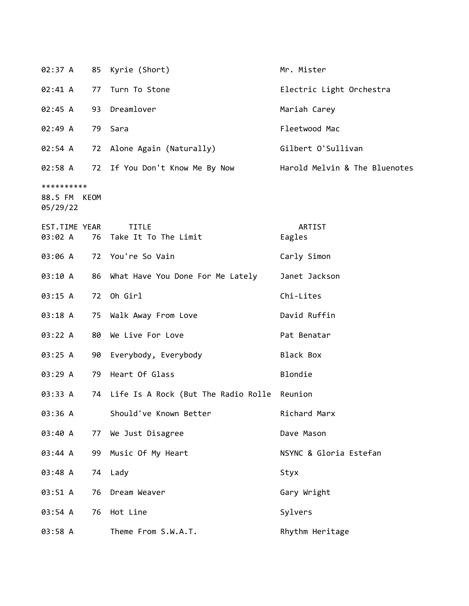| 02:37 A                                |    | 85 Kyrie (Short)                               | Mr. Mister                    |
|----------------------------------------|----|------------------------------------------------|-------------------------------|
| 02:41 A                                |    | 77 Turn To Stone                               | Electric Light Orchestra      |
| 02:45 A                                |    | 93 Dreamlover                                  | Mariah Carey                  |
| 02:49 A                                |    | 79 Sara                                        | Fleetwood Mac                 |
| 02:54 A                                |    | 72 Alone Again (Naturally)                     | Gilbert O'Sullivan            |
|                                        |    | 02:58 A 72 If You Don't Know Me By Now         | Harold Melvin & The Bluenotes |
| **********<br>88.5 FM KEOM<br>05/29/22 |    |                                                |                               |
| EST.TIME YEAR<br>03:02 A               |    | <b>TITLE</b><br>76 Take It To The Limit        | ARTIST<br>Eagles              |
| 03:06 A                                |    | 72 You're So Vain                              | Carly Simon                   |
| 03:10 A                                |    | 86 What Have You Done For Me Lately            | Janet Jackson                 |
| 03:15 A                                |    | 72 Oh Girl                                     | Chi-Lites                     |
| 03:18 A                                |    | 75 Walk Away From Love                         | David Ruffin                  |
| 03:22 A                                | 80 | We Live For Love                               | Pat Benatar                   |
| 03:25 A                                |    | 90 Everybody, Everybody                        | Black Box                     |
| 03:29A                                 |    | 79 Heart Of Glass                              | Blondie                       |
| 03:33 A                                |    | 74 Life Is A Rock (But The Radio Rolle Reunion |                               |
| 03:36 A                                |    | Should've Known Better                         | Richard Marx                  |
| 03:40 A                                | 77 | We Just Disagree                               | Dave Mason                    |
| 03:44 A                                | 99 | Music Of My Heart                              | NSYNC & Gloria Estefan        |
| 03:48 A                                |    | 74 Lady                                        | Styx                          |
| 03:51 A                                | 76 | Dream Weaver                                   | Gary Wright                   |
| 03:54 A                                | 76 | Hot Line                                       | Sylvers                       |
| 03:58 A                                |    | Theme From S.W.A.T.                            | Rhythm Heritage               |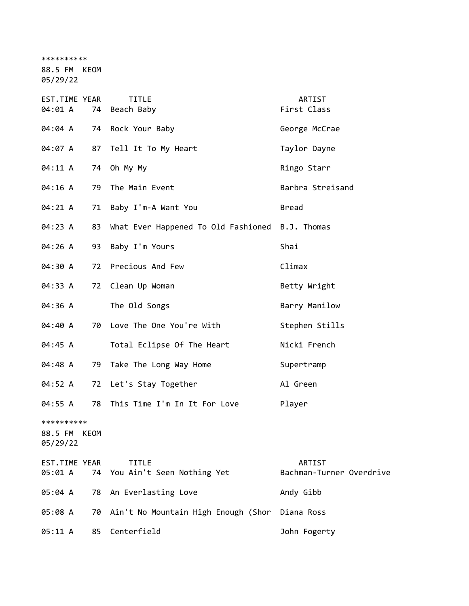\*\*\*\*\*\*\*\*\*\*

88.5 FM KEOM

05/29/22

| EST.TIME YEAR<br>04:01 A          | 74   | <b>TITLE</b><br>Beach Baby                      | ARTIST<br>First Class              |
|-----------------------------------|------|-------------------------------------------------|------------------------------------|
| 04:04 A                           | 74   | Rock Your Baby                                  | George McCrae                      |
| 04:07 A                           | 87   | Tell It To My Heart                             | Taylor Dayne                       |
| 04:11 A                           | 74   | Oh My My                                        | Ringo Starr                        |
| 04:16 A                           | 79   | The Main Event                                  | Barbra Streisand                   |
| 04:21 A                           | 71   | Baby I'm-A Want You                             | <b>Bread</b>                       |
| 04:23 A                           | 83   | What Ever Happened To Old Fashioned B.J. Thomas |                                    |
| 04:26 A                           | 93   | Baby I'm Yours                                  | Shai                               |
| 04:30 A                           | 72   | Precious And Few                                | Climax                             |
| 04:33 A                           | 72   | Clean Up Woman                                  | Betty Wright                       |
| 04:36 A                           |      | The Old Songs                                   | Barry Manilow                      |
| 04:40 A                           | 70   | Love The One You're With                        | Stephen Stills                     |
| 04:45 A                           |      | Total Eclipse Of The Heart                      | Nicki French                       |
| 04:48 A                           | 79   | Take The Long Way Home                          | Supertramp                         |
| 04:52 A                           | 72   | Let's Stay Together                             | Al Green                           |
| 04:55 A                           | 78   | This Time I'm In It For Love                    | Player                             |
| **********<br>88.5 FM<br>05/29/22 | KEOM |                                                 |                                    |
| EST.TIME YEAR<br>05:01 A          |      | <b>TITLE</b><br>74 You Ain't Seen Nothing Yet   | ARTIST<br>Bachman-Turner Overdrive |
| 05:04 A                           | 78   | An Everlasting Love                             | Andy Gibb                          |
| 05:08 A                           | 70   | Ain't No Mountain High Enough (Shor             | Diana Ross                         |
| 05:11 A                           | 85   | Centerfield                                     | John Fogerty                       |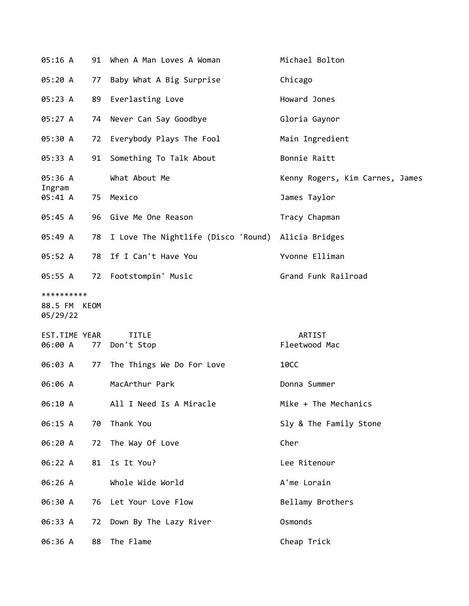| 05:16 A                                |      | 91 When A Man Loves A Woman                           | Michael Bolton                  |
|----------------------------------------|------|-------------------------------------------------------|---------------------------------|
| 05:20 A                                | 77   | Baby What A Big Surprise                              | Chicago                         |
| 05:23 A                                | 89   | Everlasting Love                                      | Howard Jones                    |
| 05:27 A                                |      | 74 Never Can Say Goodbye                              | Gloria Gaynor                   |
| 05:30 A                                | 72   | Everybody Plays The Fool                              | Main Ingredient                 |
| 05:33 A                                | 91   | Something To Talk About                               | Bonnie Raitt                    |
| 05:36 A                                |      | What About Me                                         | Kenny Rogers, Kim Carnes, James |
| Ingram<br>05:41 A                      |      | 75 Mexico                                             | James Taylor                    |
| 05:45 A                                |      | 96 Give Me One Reason                                 | Tracy Chapman                   |
| 05:49 A                                |      | 78 I Love The Nightlife (Disco 'Round) Alicia Bridges |                                 |
| 05:52 A                                | 78   | If I Can't Have You                                   | Yvonne Elliman                  |
| 05:55 A                                | 72   | Footstompin' Music                                    | Grand Funk Railroad             |
| **********<br>88.5 FM KEOM<br>05/29/22 |      |                                                       |                                 |
| EST.TIME YEAR<br>06:00 A               | 77   | <b>TITLE</b><br>Don't Stop                            | <b>ARTIST</b><br>Fleetwood Mac  |
| 06:03 A                                |      | 77 The Things We Do For Love                          | <b>10CC</b>                     |
| 06:06 A                                |      | MacArthur Park                                        | Donna Summer                    |
| 06:10 A                                |      | All I Need Is A Miracle                               | Mike + The Mechanics            |
| 06:15 A                                | 70   | Thank You                                             | Sly & The Family Stone          |
| 06:20 A                                | 72   | The Way Of Love                                       | Cher                            |
| 06:22 A                                | 81   | Is It You?                                            | Lee Ritenour                    |
| 06:26 A                                |      | Whole Wide World                                      | A'me Lorain                     |
| 06:30 A                                | 76 - | Let Your Love Flow                                    | Bellamy Brothers                |
| 06:33 A                                | 72   | Down By The Lazy River                                | Osmonds                         |
| 06:36 A                                | 88   | The Flame                                             | Cheap Trick                     |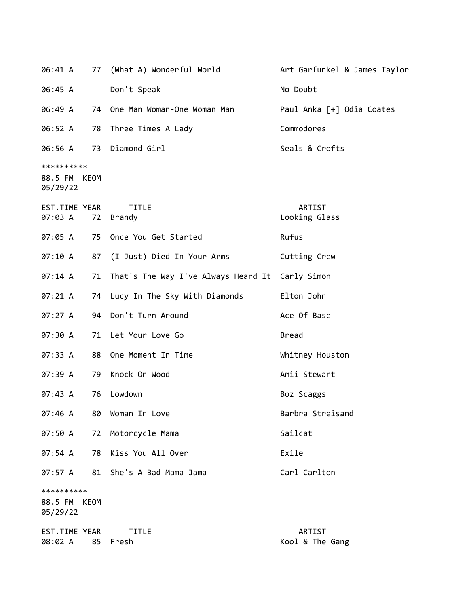| 06:41 A                           |             | 77 (What A) Wonderful World                     | Art Garfunkel & James Taylor |
|-----------------------------------|-------------|-------------------------------------------------|------------------------------|
| 06:45 A                           |             | Don't Speak                                     | No Doubt                     |
| 06:49 A                           |             | 74 One Man Woman-One Woman Man                  | Paul Anka [+] Odia Coates    |
| 06:52 A                           | 78          | Three Times A Lady                              | Commodores                   |
| 06:56 A                           |             | 73 Diamond Girl                                 | Seals & Crofts               |
| **********<br>88.5 FM<br>05/29/22 | KEOM        |                                                 |                              |
| EST.TIME YEAR<br>07:03 A          | 72          | <b>TITLE</b><br>Brandy                          | ARTIST<br>Looking Glass      |
| 07:05 A                           |             | 75 Once You Get Started                         | Rufus                        |
| 07:10A                            | 87          | (I Just) Died In Your Arms                      | Cutting Crew                 |
| 07:14 A                           | 71          | That's The Way I've Always Heard It Carly Simon |                              |
| 07:21 A                           | 74          | Lucy In The Sky With Diamonds                   | Elton John                   |
| 07:27 A                           | 94          | Don't Turn Around                               | Ace Of Base                  |
| 07:30 A                           | 71          | Let Your Love Go                                | <b>Bread</b>                 |
| 07:33 A                           | 88          | One Moment In Time                              | Whitney Houston              |
| 07:39 A                           | 79          | Knock On Wood                                   | Amii Stewart                 |
| 07:43 A                           | 76          | Lowdown                                         | Boz Scaggs                   |
| 07:46 A                           | 80          | Woman In Love                                   | Barbra Streisand             |
| 07:50 A                           | 72          | Motorcycle Mama                                 | Sailcat                      |
| 07:54 A                           | 78          | Kiss You All Over                               | Exile                        |
| 07:57 A                           | 81          | She's A Bad Mama Jama                           | Carl Carlton                 |
| **********<br>88.5 FM<br>05/29/22 | <b>KEOM</b> |                                                 |                              |
| EST.TIME YEAR<br>08:02 A          | 85          | <b>TITLE</b><br>Fresh                           | ARTIST<br>Kool & The Gang    |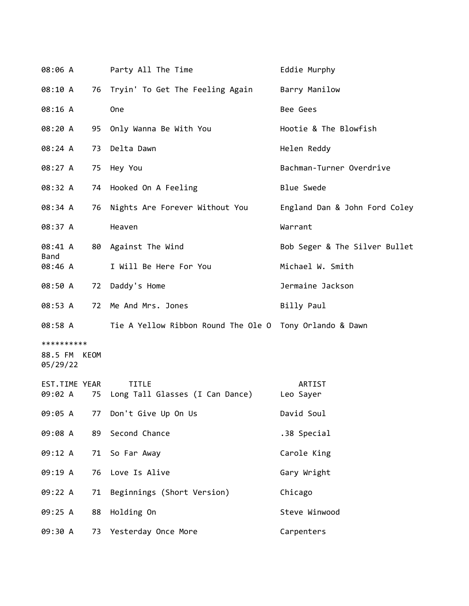| 08:06 A                                |    | Party All The Time                                      | Eddie Murphy                  |
|----------------------------------------|----|---------------------------------------------------------|-------------------------------|
| 08:10 A                                |    | 76 Tryin' To Get The Feeling Again                      | Barry Manilow                 |
| 08:16 A                                |    | One                                                     | Bee Gees                      |
| 08:20 A                                |    | 95 Only Wanna Be With You                               | Hootie & The Blowfish         |
| 08:24 A                                |    | 73 Delta Dawn                                           | Helen Reddy                   |
| 08:27 A                                |    | 75 Hey You                                              | Bachman-Turner Overdrive      |
| 08:32 A                                |    | 74 Hooked On A Feeling                                  | <b>Blue Swede</b>             |
| 08:34 A                                | 76 | Nights Are Forever Without You                          | England Dan & John Ford Coley |
| 08:37 A                                |    | Heaven                                                  | Warrant                       |
| 08:41 A                                |    | 80 Against The Wind                                     | Bob Seger & The Silver Bullet |
| Band<br>08:46 A                        |    | I Will Be Here For You                                  | Michael W. Smith              |
| 08:50 A                                |    | 72 Daddy's Home                                         | Jermaine Jackson              |
| 08:53 A                                |    | 72 Me And Mrs. Jones                                    | Billy Paul                    |
| 08:58 A                                |    | Tie A Yellow Ribbon Round The Ole O Tony Orlando & Dawn |                               |
| **********<br>88.5 FM KEOM<br>05/29/22 |    |                                                         |                               |
| EST.TIME YEAR<br>09:02 A               |    | <b>TITLE</b><br>75 Long Tall Glasses (I Can Dance)      | ARTIST<br>Leo Sayer           |
| 09:05 A                                | 77 | Don't Give Up On Us                                     | David Soul                    |
| 09:08 A                                | 89 | Second Chance                                           | .38 Special                   |
| 09:12 A                                | 71 | So Far Away                                             | Carole King                   |
| 09:19 A                                | 76 | Love Is Alive                                           | Gary Wright                   |
| 09:22 A                                | 71 | Beginnings (Short Version)                              | Chicago                       |
| 09:25 A                                | 88 | Holding On                                              | Steve Winwood                 |
| 09:30 A                                |    | 73 Yesterday Once More                                  | Carpenters                    |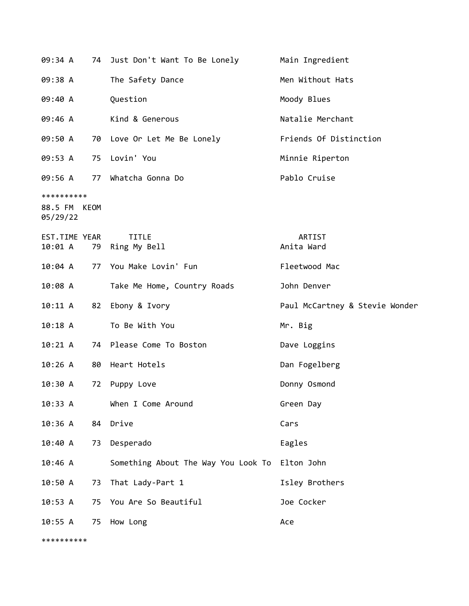|                                        |    | 09:34 A 74 Just Don't Want To Be Lonely        | Main Ingredient                |
|----------------------------------------|----|------------------------------------------------|--------------------------------|
| 09:38 A                                |    | The Safety Dance                               | Men Without Hats               |
| 09:40 A                                |    | Question                                       | Moody Blues                    |
| 09:46 A                                |    | Kind & Generous                                | Natalie Merchant               |
| 09:50 A                                |    | 70 Love Or Let Me Be Lonely                    | Friends Of Distinction         |
|                                        |    | 09:53 A 75 Lovin' You                          | Minnie Riperton                |
|                                        |    | 09:56 A 77 Whatcha Gonna Do                    | Pablo Cruise                   |
| **********<br>88.5 FM KEOM<br>05/29/22 |    |                                                |                                |
| EST.TIME YEAR                          |    | <b>TITLE</b><br>10:01 A 79 Ring My Bell        | ARTIST<br>Anita Ward           |
|                                        |    | 10:04 A 77 You Make Lovin' Fun                 | Fleetwood Mac                  |
| 10:08 A                                |    | Take Me Home, Country Roads                    | John Denver                    |
| 10:11 A                                |    | 82 Ebony & Ivory                               | Paul McCartney & Stevie Wonder |
| 10:18A                                 |    | To Be With You                                 | Mr. Big                        |
| 10:21 A                                |    | 74 Please Come To Boston                       | Dave Loggins                   |
| 10:26 A                                |    | 80 Heart Hotels                                | Dan Fogelberg                  |
| 10:30 A                                | 72 | Puppy Love                                     | Donny Osmond                   |
| 10:33 A                                |    | When I Come Around                             | Green Day                      |
| 10:36 A                                | 84 | Drive                                          | Cars                           |
| 10:40 A                                | 73 | Desperado                                      | Eagles                         |
| 10:46 A                                |    | Something About The Way You Look To Elton John |                                |
| 10:50A                                 | 73 | That Lady-Part 1                               | Isley Brothers                 |
| 10:53 A                                | 75 | You Are So Beautiful                           | Joe Cocker                     |
| 10:55 A                                | 75 | How Long                                       | Ace                            |

\*\*\*\*\*\*\*\*\*\*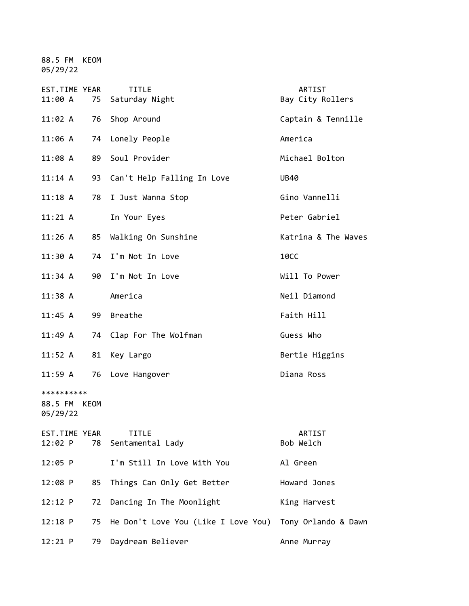88.5 FM KEOM 05/29/22

| EST.TIME YEAR<br>11:00 A               | 75 | <b>TITLE</b><br>Saturday Night      | <b>ARTIST</b><br>Bay City Rollers |
|----------------------------------------|----|-------------------------------------|-----------------------------------|
| 11:02 A                                | 76 | Shop Around                         | Captain & Tennille                |
| 11:06 A                                | 74 | Lonely People                       | America                           |
| 11:08 A                                | 89 | Soul Provider                       | Michael Bolton                    |
| $11:14$ A                              | 93 | Can't Help Falling In Love          | <b>UB40</b>                       |
| $11:18$ A                              | 78 | I Just Wanna Stop                   | Gino Vannelli                     |
| $11:21 \; \mathsf{A}$                  |    | In Your Eyes                        | Peter Gabriel                     |
| 11:26 A                                | 85 | Walking On Sunshine                 | Katrina & The Waves               |
| 11:30 A                                |    | 74 I'm Not In Love                  | <b>10CC</b>                       |
| 11:34 A                                | 90 | I'm Not In Love                     | Will To Power                     |
| $11:38$ A                              |    | America                             | Neil Diamond                      |
| $11:45$ A                              | 99 | <b>Breathe</b>                      | Faith Hill                        |
| 11:49 A                                | 74 | Clap For The Wolfman                | Guess Who                         |
| 11:52 A                                | 81 | Key Largo                           | Bertie Higgins                    |
| 11:59 A                                | 76 | Love Hangover                       | Diana Ross                        |
| **********<br>88.5 FM KEOM<br>05/29/22 |    |                                     |                                   |
| EST.TIME YEAR<br>$12:02$ P             | 78 | <b>TITLE</b><br>Sentamental Lady    | ARTIST<br>Bob Welch               |
| $12:05$ P                              |    | I'm Still In Love With You          | Al Green                          |
| 12:08 P                                | 85 | Things Can Only Get Better          | Howard Jones                      |
| $12:12$ P                              | 72 | Dancing In The Moonlight            | King Harvest                      |
| $12:18$ P                              | 75 | He Don't Love You (Like I Love You) | Tony Orlando & Dawn               |
| $12:21$ P                              | 79 | Daydream Believer                   | Anne Murray                       |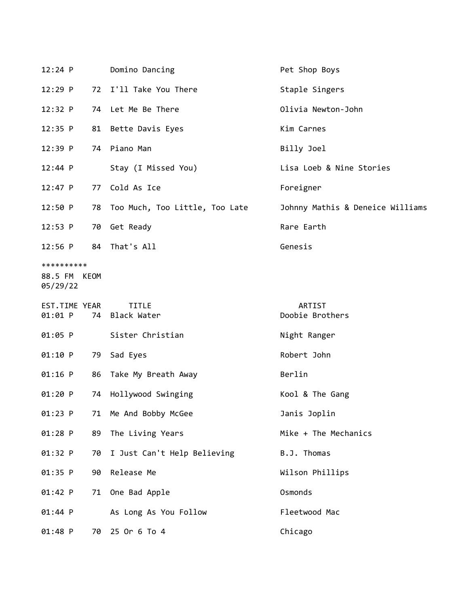| $12:24$ P                |    | Domino Dancing                 | Pet Shop Boys                    |
|--------------------------|----|--------------------------------|----------------------------------|
| $12:29$ P                | 72 | I'll Take You There            | Staple Singers                   |
| 12:32 P                  |    | 74 Let Me Be There             | Olivia Newton-John               |
| $12:35$ P                |    | 81 Bette Davis Eyes            | Kim Carnes                       |
| $12:39$ P                |    | 74 Piano Man                   | Billy Joel                       |
| 12:44 P                  |    | Stay (I Missed You)            | Lisa Loeb & Nine Stories         |
| $12:47$ P                | 77 | Cold As Ice                    | Foreigner                        |
| 12:50 P                  | 78 | Too Much, Too Little, Too Late | Johnny Mathis & Deneice Williams |
| 12:53 P                  |    | 70 Get Ready                   | Rare Earth                       |
| $12:56$ P                |    | 84 That's All                  | Genesis                          |
| **********               |    |                                |                                  |
| 88.5 FM KEOM<br>05/29/22 |    |                                |                                  |
| EST.TIME YEAR<br>01:01 P |    | <b>TITLE</b><br>74 Black Water | ARTIST<br>Doobie Brothers        |
| 01:05 P                  |    | Sister Christian               | Night Ranger                     |
| 01:10 P                  | 79 | Sad Eyes                       | Robert John                      |
| $01:16$ P                |    | 86 Take My Breath Away         | Berlin                           |
| 01:20 P                  | 74 | Hollywood Swinging             | Kool & The Gang                  |
| 01:23 P                  | 71 | Me And Bobby McGee             | Janis Joplin                     |
| 01:28 P                  | 89 | The Living Years               | Mike + The Mechanics             |
| 01:32 P                  | 70 | I Just Can't Help Believing    | B.J. Thomas                      |
| 01:35 P                  | 90 | Release Me                     | Wilson Phillips                  |
| 01:42 P                  | 71 | One Bad Apple                  | Osmonds                          |
| $01:44$ P                |    | As Long As You Follow          | Fleetwood Mac                    |
| 01:48 P                  | 70 | 25 Or 6 To 4                   | Chicago                          |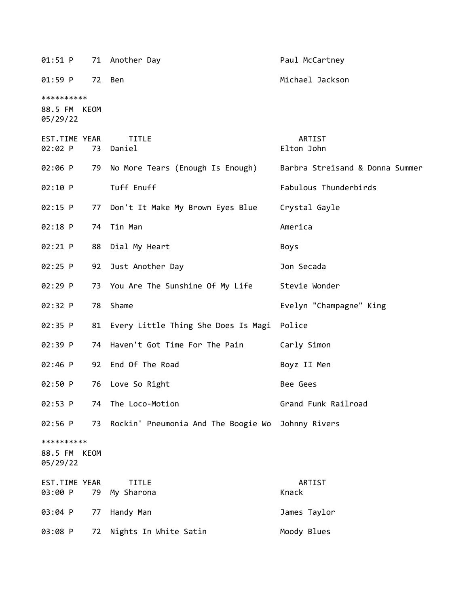| 01:51 P                                |      | 71 Another Day                                    | Paul McCartney                  |
|----------------------------------------|------|---------------------------------------------------|---------------------------------|
| 01:59 P                                | 72   | Ben                                               | Michael Jackson                 |
| **********<br>88.5 FM KEOM<br>05/29/22 |      |                                                   |                                 |
| EST.TIME YEAR<br>02:02 P               |      | <b>TITLE</b><br>73 Daniel                         | ARTIST<br>Elton John            |
| 02:06 P                                |      | 79 No More Tears (Enough Is Enough)               | Barbra Streisand & Donna Summer |
| 02:10 P                                |      | Tuff Enuff                                        | Fabulous Thunderbirds           |
| 02:15 P                                | 77   | Don't It Make My Brown Eyes Blue                  | Crystal Gayle                   |
| 02:18 P                                | 74   | Tin Man                                           | America                         |
| 02:21 P                                |      | 88 Dial My Heart                                  | <b>Boys</b>                     |
| 02:25 P                                | 92   | Just Another Day                                  | Jon Secada                      |
| 02:29 P                                |      | 73 You Are The Sunshine Of My Life                | Stevie Wonder                   |
| 02:32 P                                | 78   | Shame                                             | Evelyn "Champagne" King         |
| 02:35 P                                |      | 81 Every Little Thing She Does Is Magi Police     |                                 |
| 02:39 P                                | 74   | Haven't Got Time For The Pain                     | Carly Simon                     |
| $02:46$ P                              |      | 92 End Of The Road                                | Boyz II Men                     |
| 02:50 P                                | 76   | Love So Right                                     | Bee Gees                        |
| 02:53 P                                | 74   | The Loco-Motion                                   | Grand Funk Railroad             |
| 02:56 P                                | 73   | Rockin' Pneumonia And The Boogie Wo Johnny Rivers |                                 |
| **********<br>88.5 FM<br>05/29/22      | KEOM |                                                   |                                 |
| EST.TIME YEAR<br>03:00 P               | 79   | <b>TITLE</b><br>My Sharona                        | ARTIST<br>Knack                 |
| 03:04 P                                | 77   | Handy Man                                         | James Taylor                    |
| 03:08 P                                | 72   | Nights In White Satin                             | Moody Blues                     |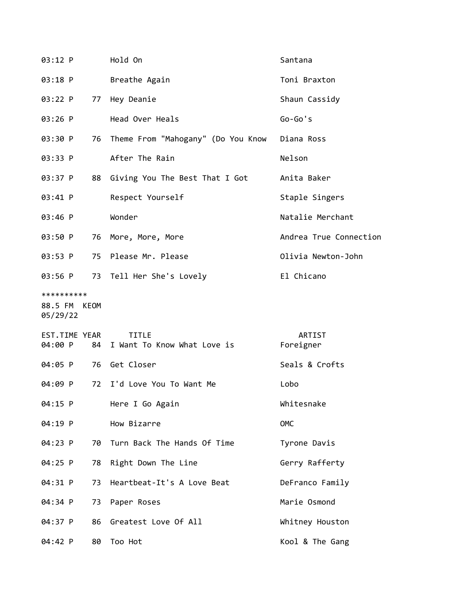| 03:12 P                                |    | Hold On                                        | Santana                |
|----------------------------------------|----|------------------------------------------------|------------------------|
| 03:18 P                                |    | Breathe Again                                  | Toni Braxton           |
| 03:22 P                                |    | 77 Hey Deanie                                  | Shaun Cassidy          |
| $03:26$ P                              |    | Head Over Heals                                | $Go-Go's$              |
| 03:30 P                                |    | 76 Theme From "Mahogany" (Do You Know          | Diana Ross             |
| 03:33 P                                |    | After The Rain                                 | Nelson                 |
| 03:37 P                                |    | 88 Giving You The Best That I Got              | Anita Baker            |
| 03:41 P                                |    | Respect Yourself                               | Staple Singers         |
| 03:46 P                                |    | Wonder                                         | Natalie Merchant       |
| 03:50 P                                |    | 76 More, More, More                            | Andrea True Connection |
| 03:53 P                                |    | 75 Please Mr. Please                           | Olivia Newton-John     |
| 03:56 P                                |    | 73 Tell Her She's Lovely                       | El Chicano             |
| **********<br>88.5 FM KEOM<br>05/29/22 |    |                                                |                        |
| EST.TIME YEAR<br>04:00 P               |    | <b>TITLE</b><br>84 I Want To Know What Love is | ARTIST<br>Foreigner    |
| 04:05 P                                |    | 76 Get Closer                                  | Seals & Crofts         |
| 04:09 P                                | 72 | I'd Love You To Want Me                        | Lobo                   |
| 04:15 P                                |    | Here I Go Again                                | Whitesnake             |
| 04:19 P                                |    | How Bizarre                                    | OMC                    |
| 04:23 P                                | 70 | Turn Back The Hands Of Time                    | Tyrone Davis           |
| 04:25 P                                | 78 | Right Down The Line                            | Gerry Rafferty         |
| 04:31 P                                | 73 | Heartbeat-It's A Love Beat                     | DeFranco Family        |
| 04:34 P                                | 73 | Paper Roses                                    | Marie Osmond           |
| 04:37 P                                | 86 | Greatest Love Of All                           | Whitney Houston        |
| 04:42 P                                | 80 | Too Hot                                        | Kool & The Gang        |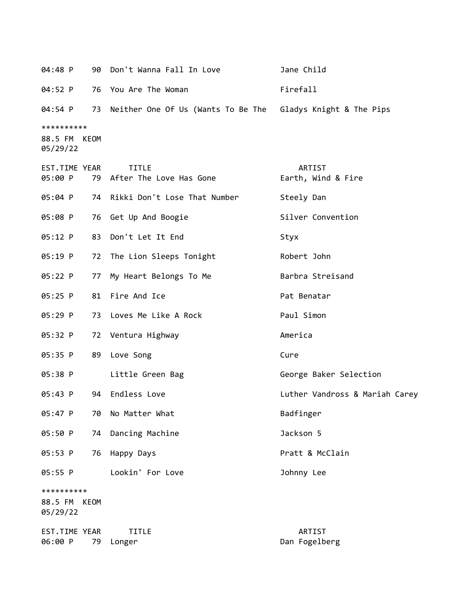| 04:48 P                                |    | 90 Don't Wanna Fall In Love                                    | Jane Child                     |
|----------------------------------------|----|----------------------------------------------------------------|--------------------------------|
| 04:52 P                                |    | 76 You Are The Woman                                           | Firefall                       |
| 04:54 P                                |    | 73 Neither One Of Us (Wants To Be The Gladys Knight & The Pips |                                |
| **********<br>88.5 FM KEOM<br>05/29/22 |    |                                                                |                                |
| EST.TIME YEAR<br>05:00 P               |    | <b>TITLE</b><br>79 After The Love Has Gone                     | ARTIST<br>Earth, Wind & Fire   |
| 05:04 P                                |    | 74 Rikki Don't Lose That Number                                | Steely Dan                     |
| 05:08 P                                |    | 76 Get Up And Boogie                                           | Silver Convention              |
| 05:12 P                                |    | 83 Don't Let It End                                            | Styx                           |
| 05:19 P                                |    | 72 The Lion Sleeps Tonight                                     | Robert John                    |
| 05:22 P                                | 77 | My Heart Belongs To Me                                         | Barbra Streisand               |
| $05:25$ P                              |    | 81 Fire And Ice                                                | Pat Benatar                    |
| 05:29 P                                |    | 73 Loves Me Like A Rock                                        | Paul Simon                     |
| 05:32 P                                |    | 72 Ventura Highway                                             | America                        |
| 05:35 P                                | 89 | Love Song                                                      | Cure                           |
| 05:38 P                                |    | Little Green Bag                                               | George Baker Selection         |
| 05:43 P                                | 94 | Endless Love                                                   | Luther Vandross & Mariah Carey |
| 05:47 P                                | 70 | No Matter What                                                 | Badfinger                      |
| 05:50 P                                |    | 74 Dancing Machine                                             | Jackson 5                      |
| 05:53 P                                |    | 76 Happy Days                                                  | Pratt & McClain                |
| 05:55 P                                |    | Lookin' For Love                                               | Johnny Lee                     |
| **********<br>88.5 FM KEOM<br>05/29/22 |    |                                                                |                                |
| EST.TIME YEAR<br>06:00 P               | 79 | <b>TITLE</b><br>Longer                                         | ARTIST<br>Dan Fogelberg        |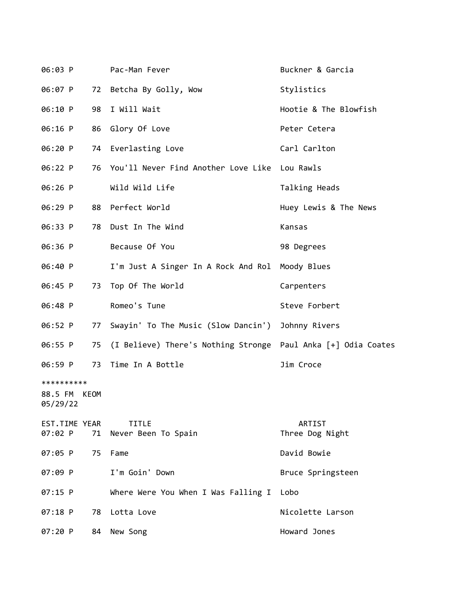| 06:03 P                  |      | Pac-Man Fever                                                 | Buckner & Garcia          |
|--------------------------|------|---------------------------------------------------------------|---------------------------|
| 06:07 P                  | 72   | Betcha By Golly, Wow                                          | Stylistics                |
| 06:10 P                  | 98   | I Will Wait                                                   | Hootie & The Blowfish     |
| 06:16 P                  | 86   | Glory Of Love                                                 | Peter Cetera              |
| 06:20 P                  | 74   | Everlasting Love                                              | Carl Carlton              |
| 06:22 P                  | 76   | You'll Never Find Another Love Like Lou Rawls                 |                           |
| 06:26 P                  |      | Wild Wild Life                                                | Talking Heads             |
| 06:29 P                  |      | 88 Perfect World                                              | Huey Lewis & The News     |
| 06:33 P                  | 78   | Dust In The Wind                                              | Kansas                    |
| 06:36 P                  |      | Because Of You                                                | 98 Degrees                |
| 06:40 P                  |      | I'm Just A Singer In A Rock And Rol Moody Blues               |                           |
| 06:45 P                  | 73   | Top Of The World                                              | Carpenters                |
| 06:48 P                  |      | Romeo's Tune                                                  | Steve Forbert             |
| 06:52 P                  | 77   | Swayin' To The Music (Slow Dancin')                           | Johnny Rivers             |
| 06:55 P                  | 75   | (I Believe) There's Nothing Stronge Paul Anka [+] Odia Coates |                           |
| 06:59 P                  | 73   | Time In A Bottle                                              | Jim Croce                 |
| **********               |      |                                                               |                           |
| 88.5 FM<br>05/29/22      | KEOM |                                                               |                           |
| EST.TIME YEAR<br>07:02 P |      | <b>TITLE</b><br>71 Never Been To Spain                        | ARTIST<br>Three Dog Night |
| 07:05 P                  | 75   | Fame                                                          | David Bowie               |
| 07:09 P                  |      | I'm Goin' Down                                                | Bruce Springsteen         |
| 07:15 P                  |      | Where Were You When I Was Falling I                           | Lobo                      |
| $07:18$ P                | 78   | Lotta Love                                                    | Nicolette Larson          |
| 07:20 P                  | 84   | New Song                                                      | Howard Jones              |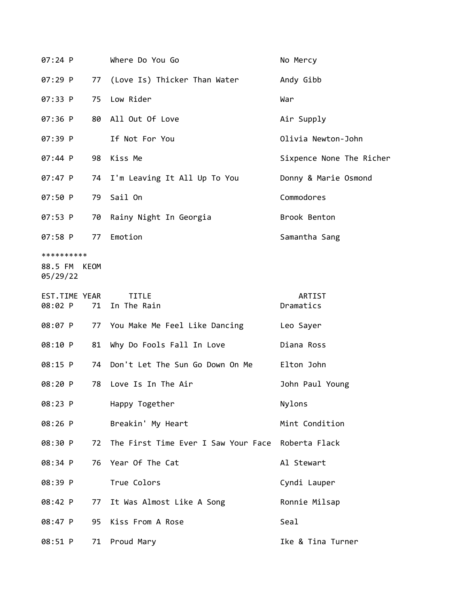| 07:24 P                           |      | Where Do You Go                                   | No Mercy                 |
|-----------------------------------|------|---------------------------------------------------|--------------------------|
| 07:29 P                           | 77   | (Love Is) Thicker Than Water                      | Andy Gibb                |
| 07:33 P                           | 75   | Low Rider                                         | War                      |
| 07:36 P                           | 80   | All Out Of Love                                   | Air Supply               |
| 07:39 P                           |      | If Not For You                                    | Olivia Newton-John       |
| 07:44 P                           | 98   | Kiss Me                                           | Sixpence None The Richer |
| 07:47 P                           | 74   | I'm Leaving It All Up To You                      | Donny & Marie Osmond     |
| 07:50 P                           | 79   | Sail On                                           | Commodores               |
| 07:53 P                           | 70   | Rainy Night In Georgia                            | Brook Benton             |
| 07:58 P                           | 77   | Emotion                                           | Samantha Sang            |
| **********<br>88.5 FM<br>05/29/22 | KEOM |                                                   |                          |
| EST.TIME YEAR<br>08:02 P          | 71   | <b>TITLE</b><br>In The Rain                       | ARTIST<br>Dramatics      |
| 08:07 P                           | 77   | You Make Me Feel Like Dancing                     | Leo Sayer                |
| 08:10 P                           | 81   | Why Do Fools Fall In Love                         | Diana Ross               |
| 08:15 P                           | 74   | Don't Let The Sun Go Down On Me                   | Elton John               |
| 08:20 P                           | 78   | Love Is In The Air                                | John Paul Young          |
| 08:23 P                           |      | Happy Together                                    | Nylons                   |
| 08:26 P                           |      | Breakin' My Heart                                 | Mint Condition           |
| 08:30 P                           | 72   | The First Time Ever I Saw Your Face Roberta Flack |                          |
| 08:34 P                           | 76   | Year Of The Cat                                   | Al Stewart               |
| 08:39 P                           |      | True Colors                                       | Cyndi Lauper             |
| 08:42 P                           | 77   | It Was Almost Like A Song                         | Ronnie Milsap            |
| 08:47 P                           | 95   | Kiss From A Rose                                  | Seal                     |
| 08:51 P                           | 71   | Proud Mary                                        | Ike & Tina Turner        |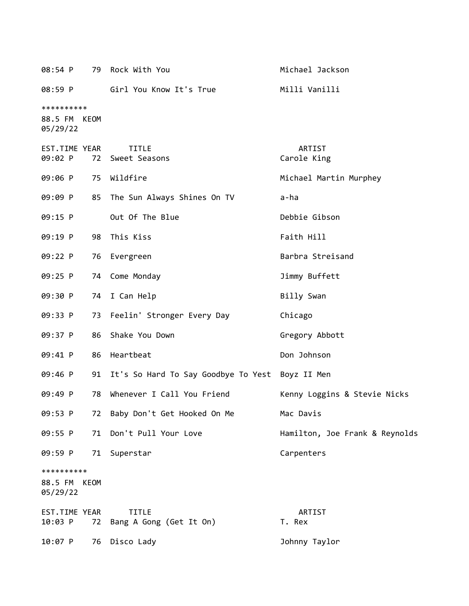| 08:54 P                                |      | 79 Rock With You                                   | Michael Jackson                |
|----------------------------------------|------|----------------------------------------------------|--------------------------------|
| 08:59 P                                |      | Girl You Know It's True                            | Milli Vanilli                  |
| **********<br>88.5 FM KEOM<br>05/29/22 |      |                                                    |                                |
| EST.TIME YEAR<br>09:02 P               |      | <b>TITLE</b><br>72 Sweet Seasons                   | ARTIST<br>Carole King          |
| 09:06 P                                |      | 75 Wildfire                                        | Michael Martin Murphey         |
| 09:09 P                                | 85   | The Sun Always Shines On TV                        | a-ha                           |
| 09:15 P                                |      | Out Of The Blue                                    | Debbie Gibson                  |
| 09:19 P                                | 98   | This Kiss                                          | Faith Hill                     |
| 09:22 P                                | 76   | Evergreen                                          | Barbra Streisand               |
| 09:25 P                                | 74   | Come Monday                                        | Jimmy Buffett                  |
| 09:30 P                                | 74   | I Can Help                                         | Billy Swan                     |
| 09:33 P                                | 73   | Feelin' Stronger Every Day                         | Chicago                        |
| 09:37 P                                | 86   | Shake You Down                                     | Gregory Abbott                 |
| 09:41 P                                | 86   | Heartbeat                                          | Don Johnson                    |
| 09:46 P                                |      | 91 It's So Hard To Say Goodbye To Yest Boyz II Men |                                |
| 09:49 P                                | 78   | Whenever I Call You Friend                         | Kenny Loggins & Stevie Nicks   |
| 09:53 P                                | 72   | Baby Don't Get Hooked On Me                        | Mac Davis                      |
| 09:55 P                                | 71   | Don't Pull Your Love                               | Hamilton, Joe Frank & Reynolds |
| 09:59 P                                | 71   | Superstar                                          | Carpenters                     |
| **********<br>88.5 FM<br>05/29/22      | KEOM |                                                    |                                |
| EST.TIME YEAR<br>10:03 P               | 72   | <b>TITLE</b><br>Bang A Gong (Get It On)            | ARTIST<br>T. Rex               |
| 10:07 P                                | 76   | Disco Lady                                         | Johnny Taylor                  |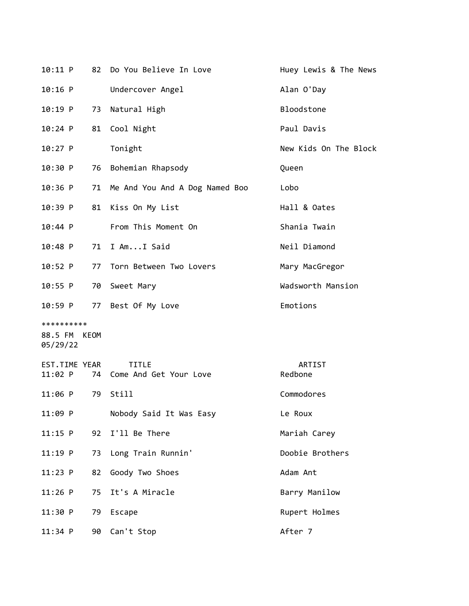| 10:11 P       | 82 | Do You Believe In Love         | Huey Lewis & The News |
|---------------|----|--------------------------------|-----------------------|
| 10:16 P       |    | Undercover Angel               | Alan O'Day            |
| $10:19$ P     | 73 | Natural High                   | Bloodstone            |
| $10:24$ P     | 81 | Cool Night                     | Paul Davis            |
| $10:27$ P     |    | Tonight                        | New Kids On The Block |
| 10:30 P       | 76 | Bohemian Rhapsody              | Queen                 |
| $10:36$ P     | 71 | Me And You And A Dog Named Boo | Lobo                  |
| $10:39$ P     | 81 | Kiss On My List                | Hall & Oates          |
| 10:44 P       |    | From This Moment On            | Shania Twain          |
| $10:48$ P     | 71 | I AmI Said                     | Neil Diamond          |
| $10:52$ P     | 77 | Torn Between Two Lovers        | Mary MacGregor        |
| 10:55 P       | 70 | Sweet Mary                     | Wadsworth Mansion     |
| 10:59 P       | 77 | Best Of My Love                | Emotions              |
| **********    |    |                                |                       |
| 88.5 FM KEOM  |    |                                |                       |
| 05/29/22      |    |                                |                       |
| EST.TIME YEAR |    | <b>TITLE</b>                   | ARTIST                |
| 11:02 P       | 74 | Come And Get Your Love         | Redbone               |
| $11:06$ P     | 79 | Still                          | Commodores            |
| 11:09 P       |    | Nobody Said It Was Easy        | Le Roux               |
| $11:15$ P     | 92 | I'll Be There                  | Mariah Carey          |
| $11:19$ P     | 73 | Long Train Runnin'             | Doobie Brothers       |
| 11:23 P       | 82 | Goody Two Shoes                | Adam Ant              |
| $11:26$ P     | 75 | It's A Miracle                 | Barry Manilow         |
| 11:30 P       | 79 | Escape                         | Rupert Holmes         |
| $11:34$ P     |    | 90 Can't Stop                  | After 7               |